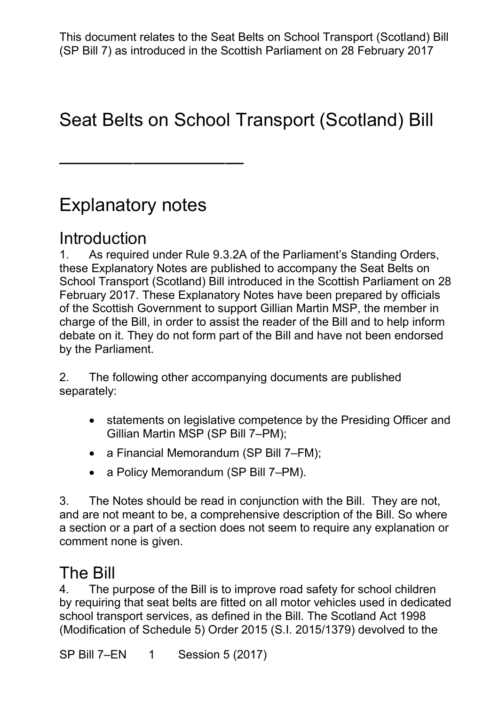# Seat Belts on School Transport (Scotland) Bill

# Explanatory notes

——————————

## Introduction

 1. As required under Rule 9.3.2A of the Parliament's Standing Orders, these Explanatory Notes are published to accompany the Seat Belts on of the Scottish Government to support Gillian Martin MSP, the member in charge of the Bill, in order to assist the reader of the Bill and to help inform debate on it. They do not form part of the Bill and have not been endorsed School Transport (Scotland) Bill introduced in the Scottish Parliament on 28 February 2017. These Explanatory Notes have been prepared by officials by the Parliament.

2. The following other accompanying documents are published separately:

- statements on legislative competence by the Presiding Officer and Gillian Martin MSP (SP Bill 7–PM);
- a Financial Memorandum (SP Bill 7–FM);
- a Policy Memorandum (SP Bill 7–PM).

 and are not meant to be, a comprehensive description of the Bill. So where a section or a part of a section does not seem to require any explanation or 3. The Notes should be read in conjunction with the Bill. They are not, comment none is given.

## The Bill

 4. The purpose of the Bill is to improve road safety for school children by requiring that seat belts are fitted on all motor vehicles used in dedicated school transport services, as defined in the Bill. The Scotland Act 1998 (Modification of Schedule 5) Order 2015 (S.I. 2015/1379) devolved to the

SP Bill 7-EN 1 Session 5 (2017)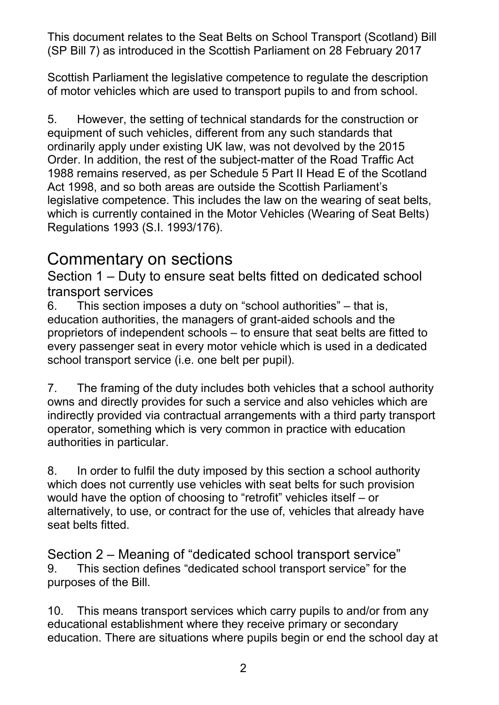of motor vehicles which are used to transport pupils to and from school. Scottish Parliament the legislative competence to regulate the description

 5. However, the setting of technical standards for the construction or equipment of such vehicles, different from any such standards that 1988 remains reserved, as per Schedule 5 Part II Head E of the Scotland legislative competence. This includes the law on the wearing of seat belts, Regulations 1993 (S.I. 1993/176). ordinarily apply under existing UK law, was not devolved by the 2015 Order. In addition, the rest of the subject-matter of the Road Traffic Act Act 1998, and so both areas are outside the Scottish Parliament's which is currently contained in the Motor Vehicles (Wearing of Seat Belts)

### Commentary on sections

 Section 1 – Duty to ensure seat belts fitted on dedicated school transport services

 education authorities, the managers of grant-aided schools and the proprietors of independent schools – to ensure that seat belts are fitted to school transport service (i.e. one belt per pupil). 6. This section imposes a duty on "school authorities" – that is, every passenger seat in every motor vehicle which is used in a dedicated

 7. The framing of the duty includes both vehicles that a school authority owns and directly provides for such a service and also vehicles which are indirectly provided via contractual arrangements with a third party transport operator, something which is very common in practice with education authorities in particular.

 8. In order to fulfil the duty imposed by this section a school authority which does not currently use vehicles with seat belts for such provision alternatively, to use, or contract for the use of, vehicles that already have seat belts fitted. would have the option of choosing to "retrofit" vehicles itself – or

Section 2 – Meaning of "dedicated school transport service" 9. This section defines "dedicated school transport service" for the purposes of the Bill.

 educational establishment where they receive primary or secondary 10. This means transport services which carry pupils to and/or from any education. There are situations where pupils begin or end the school day at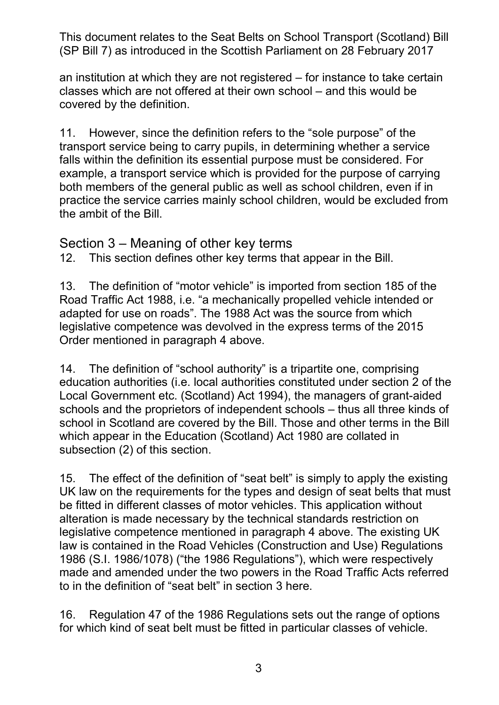an institution at which they are not registered – for instance to take certain classes which are not offered at their own school – and this would be covered by the definition.

 11. However, since the definition refers to the "sole purpose" of the falls within the definition its essential purpose must be considered. For both members of the general public as well as school children, even if in practice the service carries mainly school children, would be excluded from the ambit of the Bill. transport service being to carry pupils, in determining whether a service example, a transport service which is provided for the purpose of carrying

Section 3 – Meaning of other key terms

12. This section defines other key terms that appear in the Bill.

 13. The definition of "motor vehicle" is imported from section 185 of the Road Traffic Act 1988, i.e. "a mechanically propelled vehicle intended or adapted for use on roads". The 1988 Act was the source from which legislative competence was devolved in the express terms of the 2015 Order mentioned in paragraph 4 above.

 14. The definition of "school authority" is a tripartite one, comprising Local Government etc. (Scotland) Act 1994), the managers of grant-aided schools and the proprietors of independent schools – thus all three kinds of school in Scotland are covered by the Bill. Those and other terms in the Bill which appear in the Education (Scotland) Act 1980 are collated in subsection (2) of this section. education authorities (i.e. local authorities constituted under section 2 of the

 15. The effect of the definition of "seat belt" is simply to apply the existing UK law on the requirements for the types and design of seat belts that must be fitted in different classes of motor vehicles. This application without alteration is made necessary by the technical standards restriction on legislative competence mentioned in paragraph 4 above. The existing UK law is contained in the Road Vehicles (Construction and Use) Regulations 1986 (S.I. 1986/1078) ("the 1986 Regulations"), which were respectively made and amended under the two powers in the Road Traffic Acts referred to in the definition of "seat belt" in section 3 here.

 16. Regulation 47 of the 1986 Regulations sets out the range of options for which kind of seat belt must be fitted in particular classes of vehicle.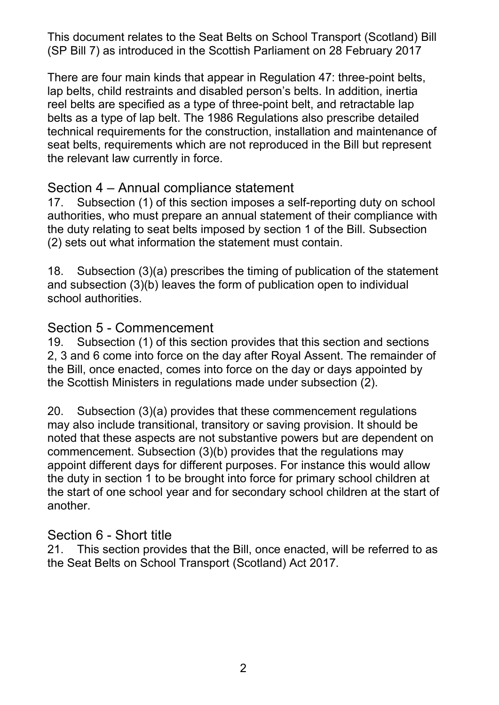reel belts are specified as a type of three-point belt, and retractable lap belts as a type of lap belt. The 1986 Regulations also prescribe detailed technical requirements for the construction, installation and maintenance of seat belts, requirements which are not reproduced in the Bill but represent the relevant law currently in force. There are four main kinds that appear in Regulation 47: three-point belts, lap belts, child restraints and disabled person's belts. In addition, inertia

### Section 4 – Annual compliance statement

 the duty relating to seat belts imposed by section 1 of the Bill. Subsection (2) sets out what information the statement must contain. 17. Subsection (1) of this section imposes a self-reporting duty on school authorities, who must prepare an annual statement of their compliance with

 and subsection (3)(b) leaves the form of publication open to individual 18. Subsection (3)(a) prescribes the timing of publication of the statement school authorities.

#### Section 5 - Commencement

 19. Subsection (1) of this section provides that this section and sections 2, 3 and 6 come into force on the day after Royal Assent. The remainder of the Bill, once enacted, comes into force on the day or days appointed by the Scottish Ministers in regulations made under subsection (2).

 may also include transitional, transitory or saving provision. It should be the duty in section 1 to be brought into force for primary school children at the start of one school year and for secondary school children at the start of 20. Subsection (3)(a) provides that these commencement regulations noted that these aspects are not substantive powers but are dependent on commencement. Subsection (3)(b) provides that the regulations may appoint different days for different purposes. For instance this would allow another.

### Section 6 - Short title

 21. This section provides that the Bill, once enacted, will be referred to as the Seat Belts on School Transport (Scotland) Act 2017.